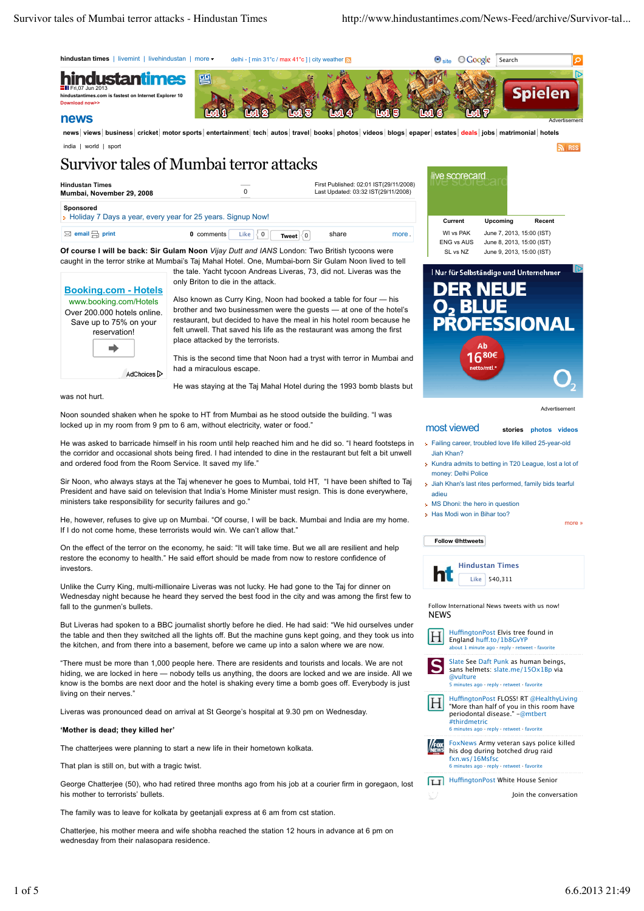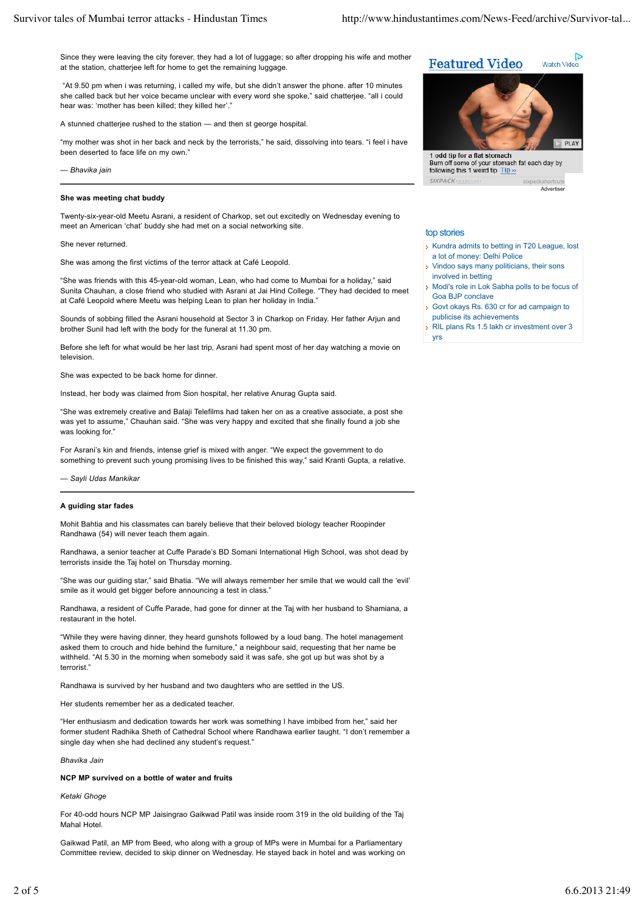Since they were leaving the city forever, they had a lot of luggage; so after dropping his wife and mother at the station, chatterjee left for home to get the remaining luggage.

 "At 9.50 pm when i was returning, i called my wife, but she didn't answer the phone. after 10 minutes she called back but her voice became unclear with every word she spoke," said chatterjee. "all i could hear was: 'mother has been killed; they killed her'."

A stunned chatterjee rushed to the station — and then st george hospital.

"my mother was shot in her back and neck by the terrorists," he said, dissolving into tears. "i feel i have been deserted to face life on my own."

*— Bhavika jain*

# **She was meeting chat buddy**

Twenty-six-year-old Meetu Asrani, a resident of Charkop, set out excitedly on Wednesday evening to meet an American 'chat' buddy she had met on a social networking site.

### She never returned.

She was among the first victims of the terror attack at Café Leopold.

"She was friends with this 45-year-old woman, Lean, who had come to Mumbai for a holiday," said Sunita Chauhan, a close friend who studied with Asrani at Jai Hind College. "They had decided to meet at Café Leopold where Meetu was helping Lean to plan her holiday in India."

Sounds of sobbing filled the Asrani household at Sector 3 in Charkop on Friday. Her father Arjun and brother Sunil had left with the body for the funeral at 11.30 pm.

Before she left for what would be her last trip, Asrani had spent most of her day watching a movie on television.

She was expected to be back home for dinner.

Instead, her body was claimed from Sion hospital, her relative Anurag Gupta said.

"She was extremely creative and Balaji Telefilms had taken her on as a creative associate, a post she was yet to assume," Chauhan said. "She was very happy and excited that she finally found a job she was looking for."

For Asrani's kin and friends, intense grief is mixed with anger. "We expect the government to do something to prevent such young promising lives to be finished this way," said Kranti Gupta, a relative.

*— Sayli Udas Mankikar*

### **A guiding star fades**

Mohit Bahtia and his classmates can barely believe that their beloved biology teacher Roopinder Randhawa (54) will never teach them again.

Randhawa, a senior teacher at Cuffe Parade's BD Somani International High School, was shot dead by terrorists inside the Taj hotel on Thursday morning.

"She was our guiding star," said Bhatia. "We will always remember her smile that we would call the 'evil' smile as it would get bigger before announcing a test in class."

Randhawa, a resident of Cuffe Parade, had gone for dinner at the Taj with her husband to Shamiana, a restaurant in the hotel.

"While they were having dinner, they heard gunshots followed by a loud bang. The hotel management asked them to crouch and hide behind the furniture," a neighbour said, requesting that her name be withheld. "At 5.30 in the morning when somebody said it was safe, she got up but was shot by a terrorist."

Randhawa is survived by her husband and two daughters who are settled in the US.

Her students remember her as a dedicated teacher.

"Her enthusiasm and dedication towards her work was something I have imbibed from her," said her former student Radhika Sheth of Cathedral School where Randhawa earlier taught. "I don't remember a single day when she had declined any student's request.'

*Bhavika Jain*

# **NCP MP survived on a bottle of water and fruits**

*Ketaki Ghoge*

For 40-odd hours NCP MP Jaisingrao Gaikwad Patil was inside room 319 in the old building of the Taj Mahal Hotel.

Gaikwad Patil, an MP from Beed, who along with a group of MPs were in Mumbai for a Parliamentary Committee review, decided to skip dinner on Wednesday. He stayed back in hotel and was working on



Burn off some of your stomach fat each day by following this 1 weird tip Tip » SIVPACK

Advertiser

**D** 

### top stories

- Kundra admits to betting in T20 League, lost a lot of money: Delhi Police
- Vindoo says many politicians, their sons involved in betting
- Modi's role in Lok Sabha polls to be focus of Goa BJP conclave
- Govt okays Rs. 630 cr for ad campaign to publicise its achievements
- RIL plans Rs 1.5 lakh cr investment over 3 yrs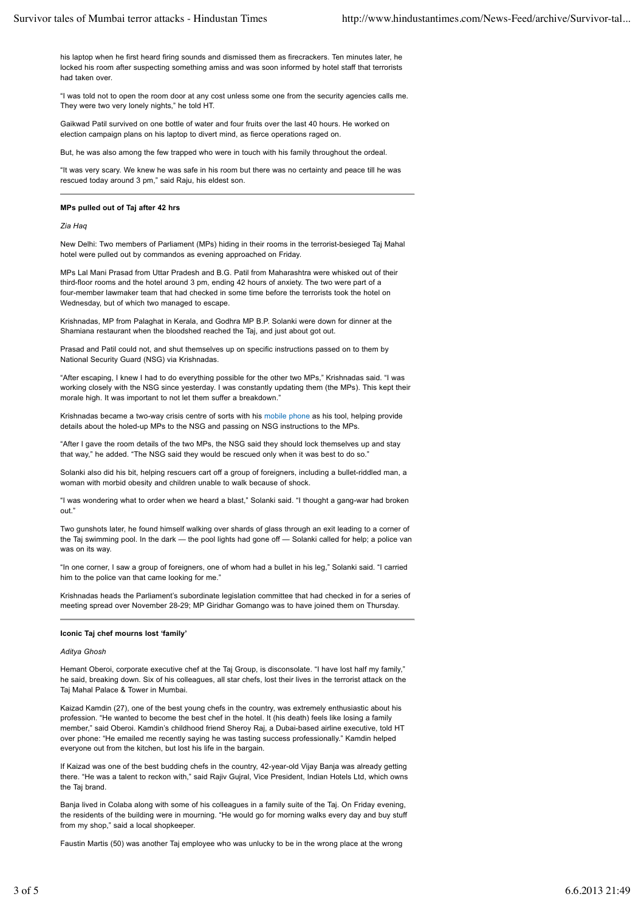his laptop when he first heard firing sounds and dismissed them as firecrackers. Ten minutes later, he locked his room after suspecting something amiss and was soon informed by hotel staff that terrorists had taken over.

"I was told not to open the room door at any cost unless some one from the security agencies calls me. They were two very lonely nights," he told HT.

Gaikwad Patil survived on one bottle of water and four fruits over the last 40 hours. He worked on election campaign plans on his laptop to divert mind, as fierce operations raged on.

But, he was also among the few trapped who were in touch with his family throughout the ordeal.

"It was very scary. We knew he was safe in his room but there was no certainty and peace till he was rescued today around 3 pm," said Raju, his eldest son.

#### **MPs pulled out of Taj after 42 hrs**

*Zia Haq*

New Delhi: Two members of Parliament (MPs) hiding in their rooms in the terrorist-besieged Taj Mahal hotel were pulled out by commandos as evening approached on Friday.

MPs Lal Mani Prasad from Uttar Pradesh and B.G. Patil from Maharashtra were whisked out of their third-floor rooms and the hotel around 3 pm, ending 42 hours of anxiety. The two were part of a four-member lawmaker team that had checked in some time before the terrorists took the hotel on Wednesday, but of which two managed to escape.

Krishnadas, MP from Palaghat in Kerala, and Godhra MP B.P. Solanki were down for dinner at the Shamiana restaurant when the bloodshed reached the Taj, and just about got out.

Prasad and Patil could not, and shut themselves up on specific instructions passed on to them by National Security Guard (NSG) via Krishnadas.

"After escaping, I knew I had to do everything possible for the other two MPs," Krishnadas said. "I was working closely with the NSG since yesterday. I was constantly updating them (the MPs). This kept their morale high. It was important to not let them suffer a breakdown."

Krishnadas became a two-way crisis centre of sorts with his mobile phone as his tool, helping provide details about the holed-up MPs to the NSG and passing on NSG instructions to the MPs.

"After I gave the room details of the two MPs, the NSG said they should lock themselves up and stay that way," he added. "The NSG said they would be rescued only when it was best to do so."

Solanki also did his bit, helping rescuers cart off a group of foreigners, including a bullet-riddled man, a woman with morbid obesity and children unable to walk because of shock.

"I was wondering what to order when we heard a blast," Solanki said. "I thought a gang-war had broken out."

Two gunshots later, he found himself walking over shards of glass through an exit leading to a corner of the Taj swimming pool. In the dark — the pool lights had gone off — Solanki called for help; a police van was on its way.

"In one corner, I saw a group of foreigners, one of whom had a bullet in his leg," Solanki said. "I carried him to the police van that came looking for me."

Krishnadas heads the Parliament's subordinate legislation committee that had checked in for a series of meeting spread over November 28-29; MP Giridhar Gomango was to have joined them on Thursday.

### **Iconic Taj chef mourns lost 'family'**

#### *Aditya Ghosh*

Hemant Oberoi, corporate executive chef at the Taj Group, is disconsolate. "I have lost half my family," he said, breaking down. Six of his colleagues, all star chefs, lost their lives in the terrorist attack on the Taj Mahal Palace & Tower in Mumbai.

Kaizad Kamdin (27), one of the best young chefs in the country, was extremely enthusiastic about his profession. "He wanted to become the best chef in the hotel. It (his death) feels like losing a family member," said Oberoi. Kamdin's childhood friend Sheroy Raj, a Dubai-based airline executive, told HT over phone: "He emailed me recently saying he was tasting success professionally." Kamdin helped everyone out from the kitchen, but lost his life in the bargain.

If Kaizad was one of the best budding chefs in the country, 42-year-old Vijay Banja was already getting there. "He was a talent to reckon with," said Rajiv Gujral, Vice President, Indian Hotels Ltd, which owns the Taj brand.

Banja lived in Colaba along with some of his colleagues in a family suite of the Taj. On Friday evening, the residents of the building were in mourning. "He would go for morning walks every day and buy stuff from my shop," said a local shopkeeper.

Faustin Martis (50) was another Taj employee who was unlucky to be in the wrong place at the wrong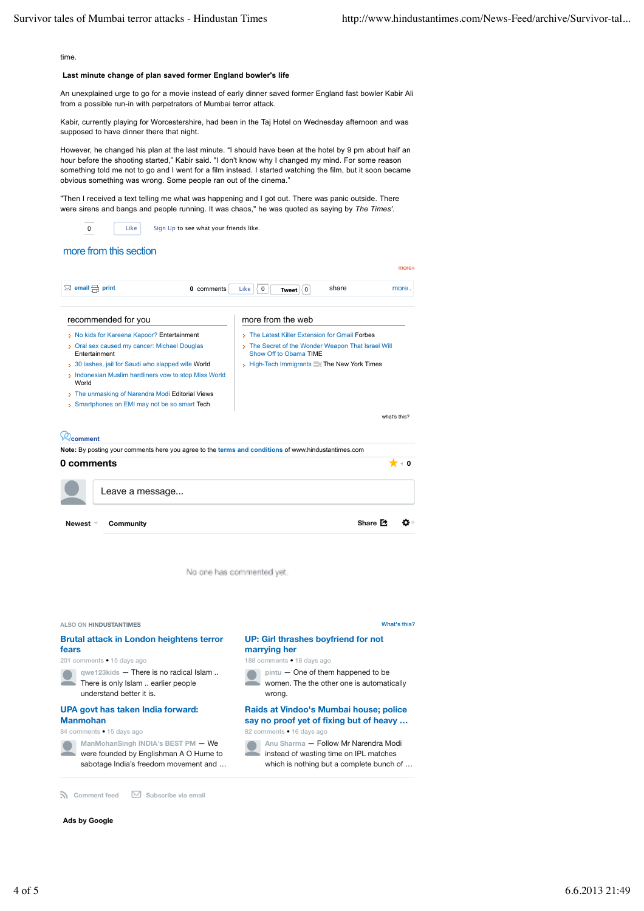time

# **Last minute change of plan saved former England bowler's life**

An unexplained urge to go for a movie instead of early dinner saved former England fast bowler Kabir Ali from a possible run-in with perpetrators of Mumbai terror attack.

Kabir, currently playing for Worcestershire, had been in the Taj Hotel on Wednesday afternoon and was supposed to have dinner there that night.

However, he changed his plan at the last minute. "I should have been at the hotel by 9 pm about half an hour before the shooting started," Kabir said. "I don't know why I changed my mind. For some reason something told me not to go and I went for a film instead. I started watching the film, but it soon became obvious something was wrong. Some people ran out of the cinema."

"Then I received a text telling me what was happening and I got out. There was panic outside. There were sirens and bangs and people running. It was chaos," he was quoted as saying by *The Times'*.

Like Sign Up to see what your friends like.

# more from this section

0

| ⊠ email print<br>0 comments                                                                                        | share<br>Like<br>$\mathbf 0$<br>more.<br>∛0<br>Tweet                       |
|--------------------------------------------------------------------------------------------------------------------|----------------------------------------------------------------------------|
| recommended for you                                                                                                | more from the web                                                          |
| » No kids for Kareena Kapoor? Entertainment                                                                        | > The Latest Killer Extension for Gmail Forbes                             |
| Oral sex caused my cancer: Michael Douglas<br>Entertainment                                                        | The Secret of the Wonder Weapon That Israel Will<br>Show Off to Obama TIME |
| : 30 lashes, jail for Saudi who slapped wife World<br>Indonesian Muslim hardliners vow to stop Miss World<br>World | High-Tech Immigrants   The New York Times                                  |
| The unmasking of Narendra Modi Editorial Views                                                                     |                                                                            |
|                                                                                                                    |                                                                            |
| Smartphones on EMI may not be so smart Tech                                                                        |                                                                            |
|                                                                                                                    | what's this?                                                               |
| comment                                                                                                            |                                                                            |
| Note: By posting your comments here you agree to the terms and conditions of www.hindustantimes.com                |                                                                            |
| 0 comments                                                                                                         |                                                                            |
| Leave a message                                                                                                    |                                                                            |

No one has commented yet



**n** Comment feed  $\boxtimes$  Subscribe via email

### **Ads by Google**